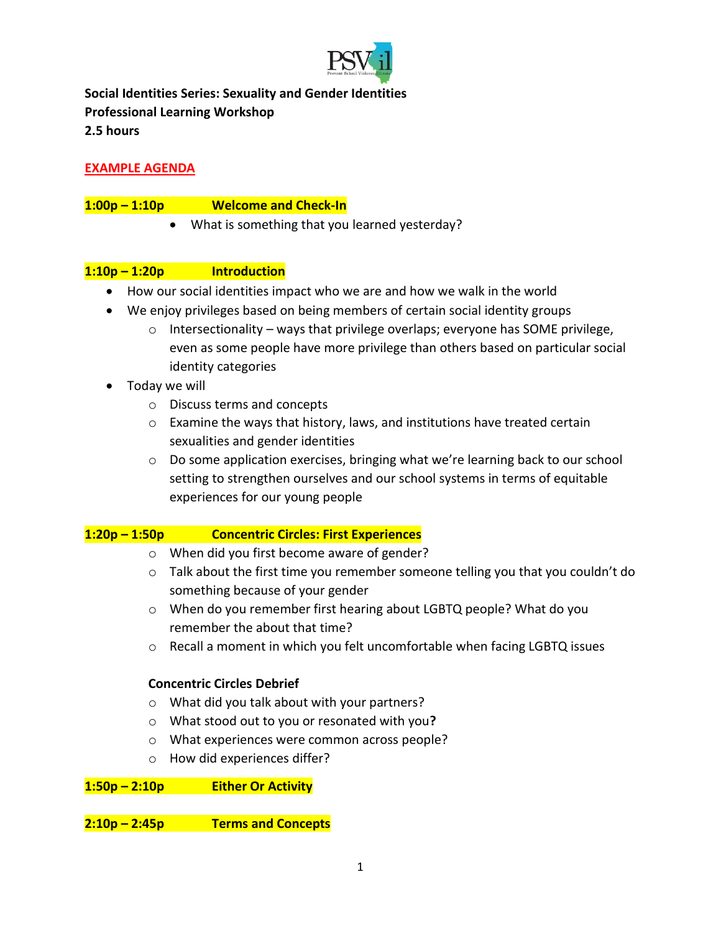

**Social Identities Series: Sexuality and Gender Identities Professional Learning Workshop 2.5 hours**

# **EXAMPLE AGENDA**

# **1:00p – 1:10p Welcome and Check-In**

• What is something that you learned yesterday?

# **1:10p – 1:20p Introduction**

- How our social identities impact who we are and how we walk in the world
- We enjoy privileges based on being members of certain social identity groups
	- $\circ$  Intersectionality ways that privilege overlaps; everyone has SOME privilege, even as some people have more privilege than others based on particular social identity categories
- Today we will
	- o Discuss terms and concepts
	- $\circ$  Examine the ways that history, laws, and institutions have treated certain sexualities and gender identities
	- o Do some application exercises, bringing what we're learning back to our school setting to strengthen ourselves and our school systems in terms of equitable experiences for our young people

# **1:20p – 1:50p Concentric Circles: First Experiences**

- o When did you first become aware of gender?
- $\circ$  Talk about the first time you remember someone telling you that you couldn't do something because of your gender
- o When do you remember first hearing about LGBTQ people? What do you remember the about that time?
- $\circ$  Recall a moment in which you felt uncomfortable when facing LGBTQ issues

#### **Concentric Circles Debrief**

- o What did you talk about with your partners?
- o What stood out to you or resonated with you**?**
- o What experiences were common across people?
- o How did experiences differ?

## **1:50p – 2:10p Either Or Activity**

**2:10p – 2:45p Terms and Concepts**